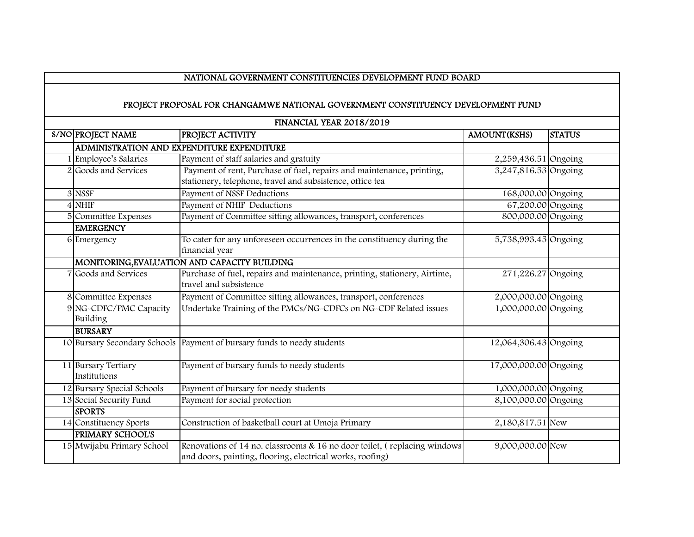## NATIONAL GOVERNMENT CONSTITUENCIES DEVELOPMENT FUND BOARD

## PROJECT PROPOSAL FOR CHANGAMWE NATIONAL GOVERNMENT CONSTITUENCY DEVELOPMENT FUND

FINANCIAL YEAR 2018/2019

| S/NO PROJECT NAME                        | PROJECT ACTIVITY                                                                                                                      | <b>AMOUNT(KSHS)</b>   | <b>STATUS</b> |
|------------------------------------------|---------------------------------------------------------------------------------------------------------------------------------------|-----------------------|---------------|
|                                          | ADMINISTRATION AND EXPENDITURE EXPENDITURE                                                                                            |                       |               |
| 1 Employee's Salaries                    | Payment of staff salaries and gratuity                                                                                                | 2,259,436.51 Ongoing  |               |
| 2 Goods and Services                     | Payment of rent, Purchase of fuel, repairs and maintenance, printing,<br>stationery, telephone, travel and subsistence, office tea    | 3,247,816.53 Ongoing  |               |
| 3 NSSF                                   | Payment of NSSF Deductions                                                                                                            | 168,000.00 Ongoing    |               |
| 4 NHIF                                   | Payment of NHIF Deductions                                                                                                            | 67,200.00 Ongoing     |               |
| 5 Committee Expenses<br><b>EMERGENCY</b> | Payment of Committee sitting allowances, transport, conferences                                                                       | 800,000.00 Ongoing    |               |
| 6 Emergency                              | To cater for any unforeseen occurrences in the constituency during the<br>financial year                                              | 5,738,993.45 Ongoing  |               |
|                                          | MONITORING, EVALUATION AND CAPACITY BUILDING                                                                                          |                       |               |
| 7 Goods and Services                     | Purchase of fuel, repairs and maintenance, printing, stationery, Airtime,<br>travel and subsistence                                   | 271,226.27 Ongoing    |               |
| 8 Committee Expenses                     | Payment of Committee sitting allowances, transport, conferences                                                                       | 2,000,000.00 Ongoing  |               |
| 9 NG-CDFC/PMC Capacity<br>Building       | Undertake Training of the PMCs/NG-CDFCs on NG-CDF Related issues                                                                      | 1,000,000.00 Ongoing  |               |
| <b>BURSARY</b>                           |                                                                                                                                       |                       |               |
|                                          | 10 Bursary Secondary Schools Payment of bursary funds to needy students                                                               | 12,064,306.43 Ongoing |               |
| 11 Bursary Tertiary<br>Institutions      | Payment of bursary funds to needy students                                                                                            | 17,000,000.00 Ongoing |               |
| 12 Bursary Special Schools               | Payment of bursary for needy students                                                                                                 | 1,000,000.00 Ongoing  |               |
| 13 Social Security Fund                  | Payment for social protection                                                                                                         | 8,100,000.00 Ongoing  |               |
| <b>SPORTS</b>                            |                                                                                                                                       |                       |               |
| 14 Constituency Sports                   | Construction of basketball court at Umoja Primary                                                                                     | 2,180,817.51 New      |               |
| <b>PRIMARY SCHOOL'S</b>                  |                                                                                                                                       |                       |               |
| 15 Mwijabu Primary School                | Renovations of 14 no. classrooms & 16 no door toilet, (replacing windows<br>and doors, painting, flooring, electrical works, roofing) | 9,000,000.00 New      |               |